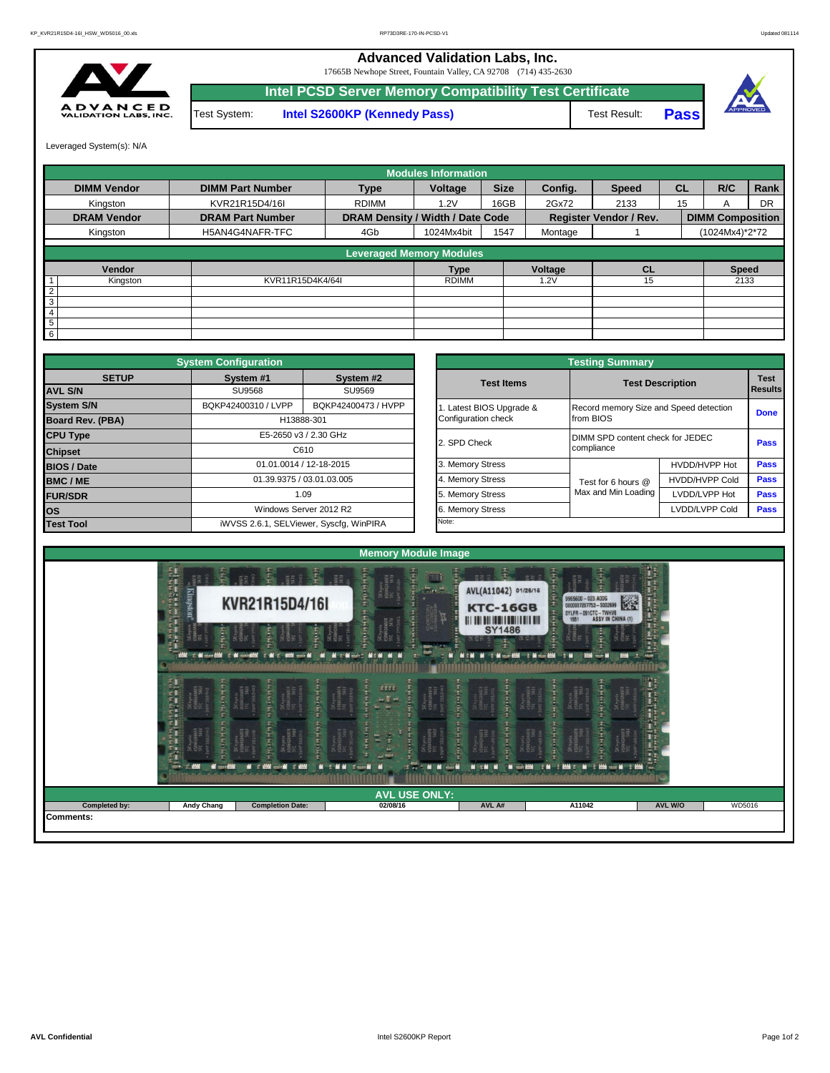## **Advanced Validation Labs, Inc.**

17665B Newhope Street, Fountain Valley, CA 92708 (714) 435-2630



**Intel PCSD Server Memory Compatibility Test Certificate Pass** Test System: **Intel S2600KP (Kennedy Pass)** Test Result:



Leveraged System(s): N/A

|                    |                         |                                  | <b>Modules Information</b> |             |         |                               |           |                         |           |
|--------------------|-------------------------|----------------------------------|----------------------------|-------------|---------|-------------------------------|-----------|-------------------------|-----------|
| <b>DIMM Vendor</b> | <b>DIMM Part Number</b> | <b>Type</b>                      | Voltage                    | <b>Size</b> | Config. | <b>Speed</b>                  | <b>CL</b> | R/C                     | Rank      |
| Kingston           | KVR21R15D4/16I          | <b>RDIMM</b>                     | 1.2V                       | 16GB        | 2Gx72   | 2133                          | 15        | A                       | <b>DR</b> |
| <b>DRAM Vendor</b> | <b>DRAM Part Number</b> | DRAM Density / Width / Date Code |                            |             |         | <b>Register Vendor / Rev.</b> |           | <b>DIMM Composition</b> |           |
| Kingston           | H5AN4G4NAFR-TFC         | 4Gb                              | 1024Mx4bit                 | 1547        | Montage |                               |           | (1024Mx4)*2*72          |           |
|                    |                         | <b>Leveraged Memory Modules</b>  |                            |             |         |                               |           |                         |           |
| Vendor             |                         |                                  | <b>Type</b>                |             | Voltage | <b>CL</b>                     |           | <b>Speed</b>            |           |
| Kingston           | KVR11R15D4K4/64I        |                                  | <b>RDIMM</b>               |             | 1.2V    | 15                            |           | 2133                    |           |
| $\overline{2}$     |                         |                                  |                            |             |         |                               |           |                         |           |
| 3                  |                         |                                  |                            |             |         |                               |           |                         |           |
| 4                  |                         |                                  |                            |             |         |                               |           |                         |           |
| 5                  |                         |                                  |                            |             |         |                               |           |                         |           |
| 6                  |                         |                                  |                            |             |         |                               |           |                         |           |

|                                          | <b>System Configuration</b> |                                         |                                  | <b>Testing Summary</b>                 |                         |             |  |  |
|------------------------------------------|-----------------------------|-----------------------------------------|----------------------------------|----------------------------------------|-------------------------|-------------|--|--|
| <b>SETUP</b>                             | System #1                   | System #2                               | <b>Test Items</b>                |                                        | <b>Test Description</b> |             |  |  |
| <b>AVL S/N</b>                           | <b>SU9568</b>               | SU9569                                  |                                  |                                        |                         | Results     |  |  |
| <b>System S/N</b>                        | BQKP42400310 / LVPP         | BQKP42400473 / HVPP                     | Latest BIOS Upgrade &            | Record memory Size and Speed detection |                         | <b>Done</b> |  |  |
| <b>Board Rev. (PBA)</b>                  | H13888-301                  |                                         | Configuration check              | from BIOS                              |                         |             |  |  |
| <b>CPU Type</b><br>E5-2650 v3 / 2.30 GHz |                             | 2. SPD Check                            | DIMM SPD content check for JEDEC | Pass                                   |                         |             |  |  |
| <b>Chipset</b>                           |                             | C610                                    |                                  | compliance                             |                         |             |  |  |
| <b>BIOS / Date</b>                       |                             | 01.01.0014 / 12-18-2015                 | 3. Memory Stress                 |                                        | HVDD/HVPP Hot           | Pass        |  |  |
| <b>BMC/ME</b>                            |                             | 01.39.9375 / 03.01.03.005               | 4. Memory Stress                 | Test for 6 hours @                     | <b>HVDD/HVPP Cold</b>   | <b>Pass</b> |  |  |
| <b>FUR/SDR</b>                           |                             | 1.09                                    | 5. Memory Stress                 | Max and Min Loading                    | LVDD/LVPP Hot           | <b>Pass</b> |  |  |
| <b>los</b>                               |                             | Windows Server 2012 R2                  | 6. Memory Stress                 |                                        | LVDD/LVPP Cold          | Pass        |  |  |
| <b>Test Tool</b>                         |                             | iWVSS 2.6.1, SELViewer, Syscfq, WinPIRA | Note:                            |                                        |                         |             |  |  |

|              | <b>System Configuration</b> |                                         |                       | <b>Testing Summary</b>                 |                       |                |  |  |  |
|--------------|-----------------------------|-----------------------------------------|-----------------------|----------------------------------------|-----------------------|----------------|--|--|--|
| <b>SETUP</b> | System #1                   | System #2                               | <b>Test Items</b>     | <b>Test Description</b>                |                       |                |  |  |  |
|              | <b>SU9568</b>               | SU9569                                  |                       |                                        |                       | <b>Results</b> |  |  |  |
|              | BQKP42400310 / LVPP         | BQKP42400473 / HVPP                     | Latest BIOS Upgrade & | Record memory Size and Speed detection |                       | <b>Done</b>    |  |  |  |
| PBA)         | H13888-301                  |                                         | Configuration check   | from BIOS                              |                       |                |  |  |  |
|              |                             | E5-2650 v3 / 2.30 GHz                   | 2. SPD Check          | DIMM SPD content check for JEDEC       |                       |                |  |  |  |
|              | C610                        |                                         |                       | compliance                             |                       | <b>Pass</b>    |  |  |  |
|              | 01.01.0014 / 12-18-2015     |                                         | 3. Memory Stress      |                                        | HVDD/HVPP Hot         | Pass           |  |  |  |
|              |                             | 01.39.9375 / 03.01.03.005               | 4. Memory Stress      | Test for 6 hours @                     | <b>HVDD/HVPP Cold</b> | Pass           |  |  |  |
|              |                             | 1.09                                    | 5. Memory Stress      | Max and Min Loading                    | LVDD/LVPP Hot         | Pass           |  |  |  |
|              |                             | Windows Server 2012 R2                  | 6. Memory Stress      |                                        | LVDD/LVPP Cold        |                |  |  |  |
|              |                             | iWVSS 2.6.1, SELViewer, Syscfq, WinPIRA | Note:                 |                                        |                       |                |  |  |  |

|               | Free                                             | 墨<br><b>ANTI</b><br>ER 9                                                          | <b>Memory Module Image</b><br>$\blacksquare$                                                                         | 量<br>포르 중                                                                              | <b>BRS</b>                                                                                          | H,                                          |
|---------------|--------------------------------------------------|-----------------------------------------------------------------------------------|----------------------------------------------------------------------------------------------------------------------|----------------------------------------------------------------------------------------|-----------------------------------------------------------------------------------------------------|---------------------------------------------|
|               | 医白细胞 医白细胞 医内脏 医骨折<br>Kingston                    | KVR21R15D4/16I                                                                    | Hilberthe<br>$\frac{1}{2}$ and $\frac{1}{2}$<br><b>THEFT</b><br>医肾间炎<br>chymax<br>BMGHMFF                            | AVL(A11042) 01/26/16<br><b>KTC-16GB</b><br><b>III III III IIII IIII IIII</b><br>SY1486 | 9965600 - 023.A00G<br>0000007207753 - 5002699<br>0YLFR - 091CTC - TWHV6<br>1551 - ASSY IN CHINA (1) | nor.                                        |
|               | i.<br>F.                                         | ł<br>ł.<br>C. Microsoft C. M. Controllers, C. M. C. 4000 roots M.<br>п            | <b>MALLEY</b><br>ш<br><b>MITHMENT MONEY</b>                                                                          | Middle M T Minor BM I Minor BM                                                         | <b>FM</b><br><b>AND 1999 1999</b>                                                                   | 홾<br><b>ABON</b>                            |
|               | 医皮肤病 医心脏病 医心脏病 医心脏病 医心脏病<br>$-5 + 0 + 0 + 0 + 0$ | <b>CHANGE</b><br>ri territori<br>SAMGNMER<br>FC 5460<br>HFTMASHAT                 | $\frac{d\mathbf{m}}{d\mathbf{r}}$<br>不可作                                                                             | <b>Theore</b>                                                                          | $+1$<br>i i i i i i i i<br><b>Chymru</b>                                                            | <b>THE REAL PROPERTY AND REAL PROPERTY.</b> |
|               | <b>Height</b>                                    | 不可以行为<br><b>CARTAGE</b><br>$rac{1}{2}$<br>ERMIGNMER<br>C. SABV<br><b>AN - A</b> 3 | <b>MODE ROOM AND ADDRESS OF A STATE OF A STATE OF A STATE OF A STATE OF A STATE OF A STATE OF A STATE OF A STATE</b> | <b>THEFT</b><br>- 4<br><b>NEW H</b>                                                    | <b>Green</b><br>0.1444<br>46480FR<br><b>MGANAFR</b><br>SABY<br>Chymraeg<br>AMGHMFH<br>E             |                                             |
|               |                                                  |                                                                                   | <b>AVL USE ONLY:</b>                                                                                                 |                                                                                        |                                                                                                     |                                             |
| Completed by: | <b>Andy Chang</b>                                | <b>Completion Date:</b>                                                           | 02/08/16                                                                                                             | AVL A#                                                                                 | A11042                                                                                              | AVL W/O<br>WD5016                           |